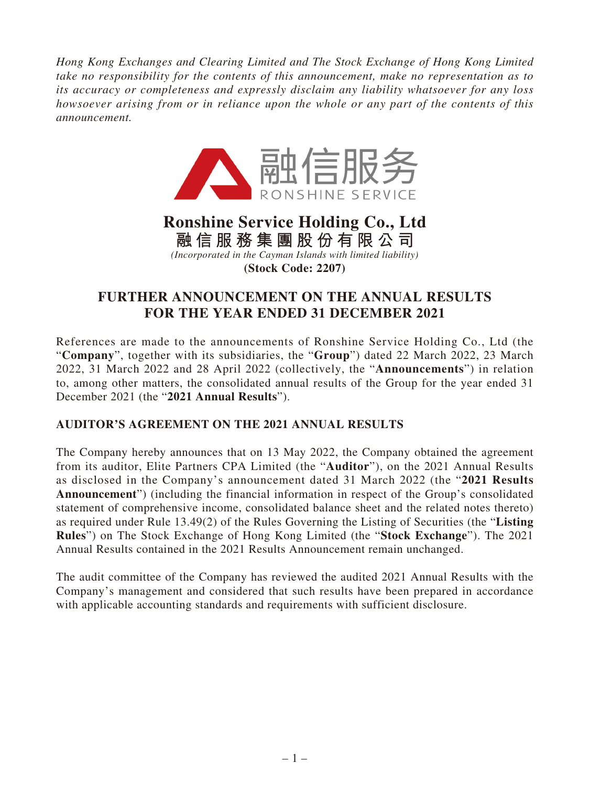*Hong Kong Exchanges and Clearing Limited and The Stock Exchange of Hong Kong Limited take no responsibility for the contents of this announcement, make no representation as to its accuracy or completeness and expressly disclaim any liability whatsoever for any loss howsoever arising from or in reliance upon the whole or any part of the contents of this announcement.*



# **Ronshine Service Holding Co., Ltd 融信服務集團股份有限公司** *(Incorporated in the Cayman Islands with limited liability)*

**(Stock Code: 2207)**

## **FURTHER ANNOUNCEMENT ON THE ANNUAL RESULTS FOR THE YEAR ENDED 31 DECEMBER 2021**

References are made to the announcements of Ronshine Service Holding Co., Ltd (the "**Company**", together with its subsidiaries, the "**Group**") dated 22 March 2022, 23 March 2022, 31 March 2022 and 28 April 2022 (collectively, the "**Announcements**") in relation to, among other matters, the consolidated annual results of the Group for the year ended 31 December 2021 (the "**2021 Annual Results**").

## **AUDITOR'S AGREEMENT ON THE 2021 ANNUAL RESULTS**

The Company hereby announces that on 13 May 2022, the Company obtained the agreement from its auditor, Elite Partners CPA Limited (the "**Auditor**"), on the 2021 Annual Results as disclosed in the Company's announcement dated 31 March 2022 (the "**2021 Results Announcement**") (including the financial information in respect of the Group's consolidated statement of comprehensive income, consolidated balance sheet and the related notes thereto) as required under Rule 13.49(2) of the Rules Governing the Listing of Securities (the "**Listing Rules**") on The Stock Exchange of Hong Kong Limited (the "**Stock Exchange**"). The 2021 Annual Results contained in the 2021 Results Announcement remain unchanged.

The audit committee of the Company has reviewed the audited 2021 Annual Results with the Company's management and considered that such results have been prepared in accordance with applicable accounting standards and requirements with sufficient disclosure.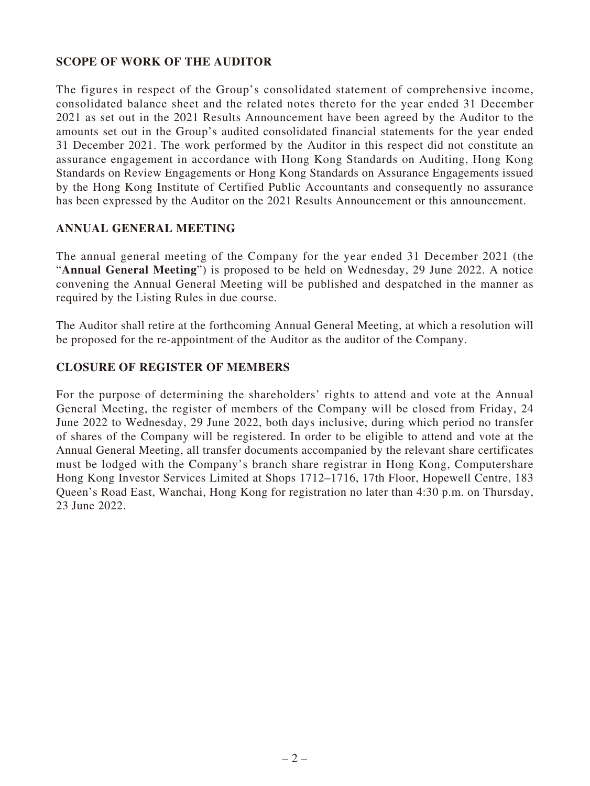## **SCOPE OF WORK OF THE AUDITOR**

The figures in respect of the Group's consolidated statement of comprehensive income, consolidated balance sheet and the related notes thereto for the year ended 31 December 2021 as set out in the 2021 Results Announcement have been agreed by the Auditor to the amounts set out in the Group's audited consolidated financial statements for the year ended 31 December 2021. The work performed by the Auditor in this respect did not constitute an assurance engagement in accordance with Hong Kong Standards on Auditing, Hong Kong Standards on Review Engagements or Hong Kong Standards on Assurance Engagements issued by the Hong Kong Institute of Certified Public Accountants and consequently no assurance has been expressed by the Auditor on the 2021 Results Announcement or this announcement.

### **ANNUAL GENERAL MEETING**

The annual general meeting of the Company for the year ended 31 December 2021 (the "**Annual General Meeting**") is proposed to be held on Wednesday, 29 June 2022. A notice convening the Annual General Meeting will be published and despatched in the manner as required by the Listing Rules in due course.

The Auditor shall retire at the forthcoming Annual General Meeting, at which a resolution will be proposed for the re-appointment of the Auditor as the auditor of the Company.

### **CLOSURE OF REGISTER OF MEMBERS**

For the purpose of determining the shareholders' rights to attend and vote at the Annual General Meeting, the register of members of the Company will be closed from Friday, 24 June 2022 to Wednesday, 29 June 2022, both days inclusive, during which period no transfer of shares of the Company will be registered. In order to be eligible to attend and vote at the Annual General Meeting, all transfer documents accompanied by the relevant share certificates must be lodged with the Company's branch share registrar in Hong Kong, Computershare Hong Kong Investor Services Limited at Shops 1712–1716, 17th Floor, Hopewell Centre, 183 Queen's Road East, Wanchai, Hong Kong for registration no later than 4:30 p.m. on Thursday, 23 June 2022.